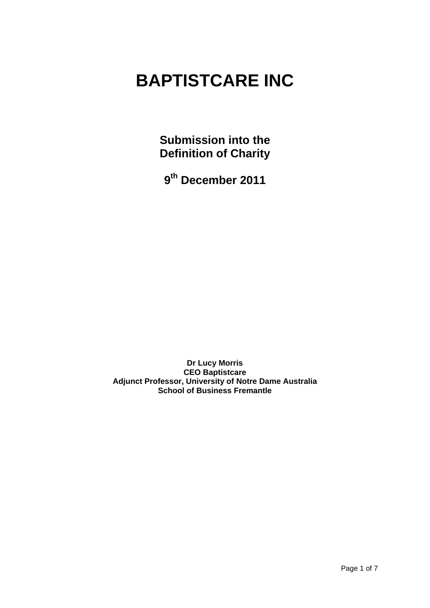# **BAPTISTCARE INC**

**Submission into the Definition of Charity**

**9 th December 2011** 

**Dr Lucy Morris CEO Baptistcare Adjunct Professor, University of Notre Dame Australia School of Business Fremantle**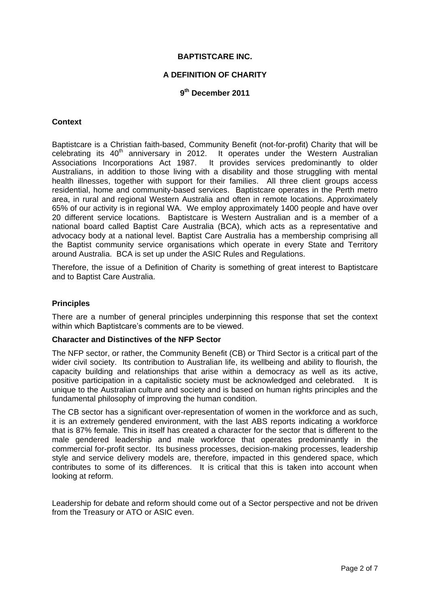#### **BAPTISTCARE INC.**

## **A DEFINITION OF CHARITY**

## **9 th December 2011**

## **Context**

Baptistcare is a Christian faith-based, Community Benefit (not-for-profit) Charity that will be celebrating its 40<sup>th</sup> anniversary in 2012. It operates under the Western Australian Associations Incorporations Act 1987. It provides services predominantly to older Australians, in addition to those living with a disability and those struggling with mental health illnesses, together with support for their families. All three client groups access residential, home and community-based services. Baptistcare operates in the Perth metro area, in rural and regional Western Australia and often in remote locations. Approximately 65% of our activity is in regional WA. We employ approximately 1400 people and have over 20 different service locations. Baptistcare is Western Australian and is a member of a national board called Baptist Care Australia (BCA), which acts as a representative and advocacy body at a national level. Baptist Care Australia has a membership comprising all the Baptist community service organisations which operate in every State and Territory around Australia. BCA is set up under the ASIC Rules and Regulations.

Therefore, the issue of a Definition of Charity is something of great interest to Baptistcare and to Baptist Care Australia.

#### **Principles**

There are a number of general principles underpinning this response that set the context within which Baptistcare's comments are to be viewed.

#### **Character and Distinctives of the NFP Sector**

The NFP sector, or rather, the Community Benefit (CB) or Third Sector is a critical part of the wider civil society. Its contribution to Australian life, its wellbeing and ability to flourish, the capacity building and relationships that arise within a democracy as well as its active, positive participation in a capitalistic society must be acknowledged and celebrated. It is unique to the Australian culture and society and is based on human rights principles and the fundamental philosophy of improving the human condition.

The CB sector has a significant over-representation of women in the workforce and as such, it is an extremely gendered environment, with the last ABS reports indicating a workforce that is 87% female. This in itself has created a character for the sector that is different to the male gendered leadership and male workforce that operates predominantly in the commercial for-profit sector. Its business processes, decision-making processes, leadership style and service delivery models are, therefore, impacted in this gendered space, which contributes to some of its differences. It is critical that this is taken into account when looking at reform.

Leadership for debate and reform should come out of a Sector perspective and not be driven from the Treasury or ATO or ASIC even.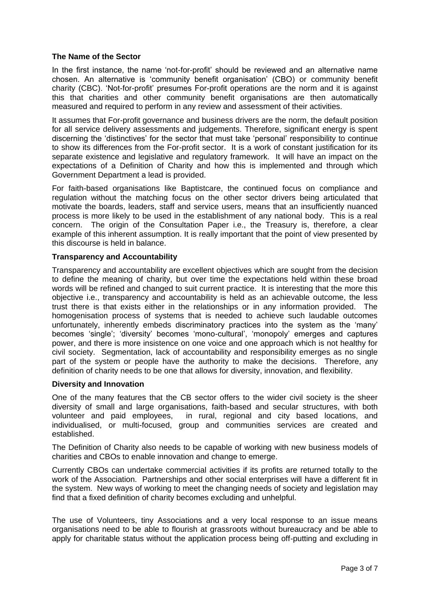## **The Name of the Sector**

In the first instance, the name 'not-for-profit' should be reviewed and an alternative name chosen. An alternative is 'community benefit organisation' (CBO) or community benefit charity (CBC). 'Not-for-profit' presumes For-profit operations are the norm and it is against this that charities and other community benefit organisations are then automatically measured and required to perform in any review and assessment of their activities.

It assumes that For-profit governance and business drivers are the norm, the default position for all service delivery assessments and judgements. Therefore, significant energy is spent discerning the 'distinctives' for the sector that must take 'personal' responsibility to continue to show its differences from the For-profit sector. It is a work of constant justification for its separate existence and legislative and regulatory framework. It will have an impact on the expectations of a Definition of Charity and how this is implemented and through which Government Department a lead is provided.

For faith-based organisations like Baptistcare, the continued focus on compliance and regulation without the matching focus on the other sector drivers being articulated that motivate the boards, leaders, staff and service users, means that an insufficiently nuanced process is more likely to be used in the establishment of any national body. This is a real concern. The origin of the Consultation Paper i.e., the Treasury is, therefore, a clear example of this inherent assumption. It is really important that the point of view presented by this discourse is held in balance.

## **Transparency and Accountability**

Transparency and accountability are excellent objectives which are sought from the decision to define the meaning of charity, but over time the expectations held within these broad words will be refined and changed to suit current practice. It is interesting that the more this objective i.e., transparency and accountability is held as an achievable outcome, the less trust there is that exists either in the relationships or in any information provided. The homogenisation process of systems that is needed to achieve such laudable outcomes unfortunately, inherently embeds discriminatory practices into the system as the 'many' becomes 'single'; 'diversity' becomes 'mono-cultural', 'monopoly' emerges and captures power, and there is more insistence on one voice and one approach which is not healthy for civil society. Segmentation, lack of accountability and responsibility emerges as no single part of the system or people have the authority to make the decisions. Therefore, any definition of charity needs to be one that allows for diversity, innovation, and flexibility.

#### **Diversity and Innovation**

One of the many features that the CB sector offers to the wider civil society is the sheer diversity of small and large organisations, faith-based and secular structures, with both volunteer and paid employees, in rural, regional and city based locations, and individualised, or multi-focused, group and communities services are created and established.

The Definition of Charity also needs to be capable of working with new business models of charities and CBOs to enable innovation and change to emerge.

Currently CBOs can undertake commercial activities if its profits are returned totally to the work of the Association. Partnerships and other social enterprises will have a different fit in the system. New ways of working to meet the changing needs of society and legislation may find that a fixed definition of charity becomes excluding and unhelpful.

The use of Volunteers, tiny Associations and a very local response to an issue means organisations need to be able to flourish at grassroots without bureaucracy and be able to apply for charitable status without the application process being off-putting and excluding in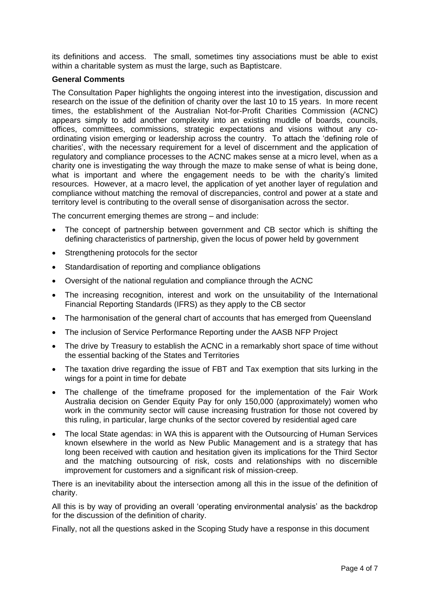its definitions and access. The small, sometimes tiny associations must be able to exist within a charitable system as must the large, such as Baptistcare.

## **General Comments**

The Consultation Paper highlights the ongoing interest into the investigation, discussion and research on the issue of the definition of charity over the last 10 to 15 years. In more recent times, the establishment of the Australian Not-for-Profit Charities Commission (ACNC) appears simply to add another complexity into an existing muddle of boards, councils, offices, committees, commissions, strategic expectations and visions without any coordinating vision emerging or leadership across the country. To attach the 'defining role of charities', with the necessary requirement for a level of discernment and the application of regulatory and compliance processes to the ACNC makes sense at a micro level, when as a charity one is investigating the way through the maze to make sense of what is being done, what is important and where the engagement needs to be with the charity's limited resources. However, at a macro level, the application of yet another layer of regulation and compliance without matching the removal of discrepancies, control and power at a state and territory level is contributing to the overall sense of disorganisation across the sector.

The concurrent emerging themes are strong – and include:

- The concept of partnership between government and CB sector which is shifting the defining characteristics of partnership, given the locus of power held by government
- Strengthening protocols for the sector
- Standardisation of reporting and compliance obligations
- Oversight of the national regulation and compliance through the ACNC
- The increasing recognition, interest and work on the unsuitability of the International Financial Reporting Standards (IFRS) as they apply to the CB sector
- The harmonisation of the general chart of accounts that has emerged from Queensland
- The inclusion of Service Performance Reporting under the AASB NFP Project
- The drive by Treasury to establish the ACNC in a remarkably short space of time without the essential backing of the States and Territories
- The taxation drive regarding the issue of FBT and Tax exemption that sits lurking in the wings for a point in time for debate
- The challenge of the timeframe proposed for the implementation of the Fair Work Australia decision on Gender Equity Pay for only 150,000 (approximately) women who work in the community sector will cause increasing frustration for those not covered by this ruling, in particular, large chunks of the sector covered by residential aged care
- The local State agendas: in WA this is apparent with the Outsourcing of Human Services known elsewhere in the world as New Public Management and is a strategy that has long been received with caution and hesitation given its implications for the Third Sector and the matching outsourcing of risk, costs and relationships with no discernible improvement for customers and a significant risk of mission-creep.

There is an inevitability about the intersection among all this in the issue of the definition of charity.

All this is by way of providing an overall 'operating environmental analysis' as the backdrop for the discussion of the definition of charity.

Finally, not all the questions asked in the Scoping Study have a response in this document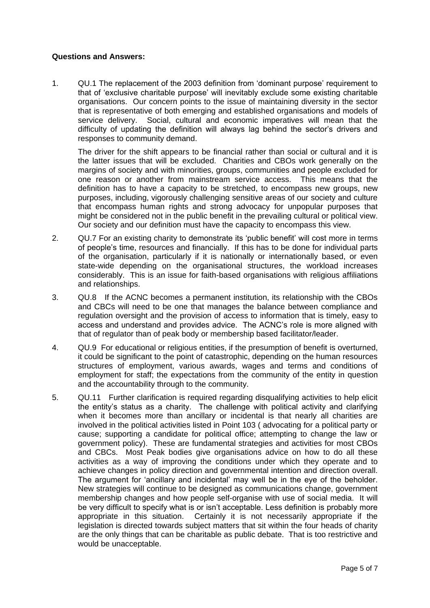## **Questions and Answers:**

1. QU.1 The replacement of the 2003 definition from 'dominant purpose' requirement to that of 'exclusive charitable purpose' will inevitably exclude some existing charitable organisations. Our concern points to the issue of maintaining diversity in the sector that is representative of both emerging and established organisations and models of service delivery. Social, cultural and economic imperatives will mean that the difficulty of updating the definition will always lag behind the sector's drivers and responses to community demand.

The driver for the shift appears to be financial rather than social or cultural and it is the latter issues that will be excluded. Charities and CBOs work generally on the margins of society and with minorities, groups, communities and people excluded for one reason or another from mainstream service access. This means that the definition has to have a capacity to be stretched, to encompass new groups, new purposes, including, vigorously challenging sensitive areas of our society and culture that encompass human rights and strong advocacy for unpopular purposes that might be considered not in the public benefit in the prevailing cultural or political view. Our society and our definition must have the capacity to encompass this view.

- 2. QU.7 For an existing charity to demonstrate its 'public benefit' will cost more in terms of people's time, resources and financially. If this has to be done for individual parts of the organisation, particularly if it is nationally or internationally based, or even state-wide depending on the organisational structures, the workload increases considerably. This is an issue for faith-based organisations with religious affiliations and relationships.
- 3. QU.8 If the ACNC becomes a permanent institution, its relationship with the CBOs and CBCs will need to be one that manages the balance between compliance and regulation oversight and the provision of access to information that is timely, easy to access and understand and provides advice. The ACNC's role is more aligned with that of regulator than of peak body or membership based facilitator/leader.
- 4. QU.9 For educational or religious entities, if the presumption of benefit is overturned, it could be significant to the point of catastrophic, depending on the human resources structures of employment, various awards, wages and terms and conditions of employment for staff; the expectations from the community of the entity in question and the accountability through to the community.
- 5. QU.11 Further clarification is required regarding disqualifying activities to help elicit the entity's status as a charity. The challenge with political activity and clarifying when it becomes more than ancillary or incidental is that nearly all charities are involved in the political activities listed in Point 103 ( advocating for a political party or cause; supporting a candidate for political office; attempting to change the law or government policy). These are fundamental strategies and activities for most CBOs and CBCs. Most Peak bodies give organisations advice on how to do all these activities as a way of improving the conditions under which they operate and to achieve changes in policy direction and governmental intention and direction overall. The argument for 'ancillary and incidental' may well be in the eye of the beholder. New strategies will continue to be designed as communications change, government membership changes and how people self-organise with use of social media. It will be very difficult to specify what is or isn't acceptable. Less definition is probably more appropriate in this situation. Certainly it is not necessarily appropriate if the legislation is directed towards subject matters that sit within the four heads of charity are the only things that can be charitable as public debate. That is too restrictive and would be unacceptable.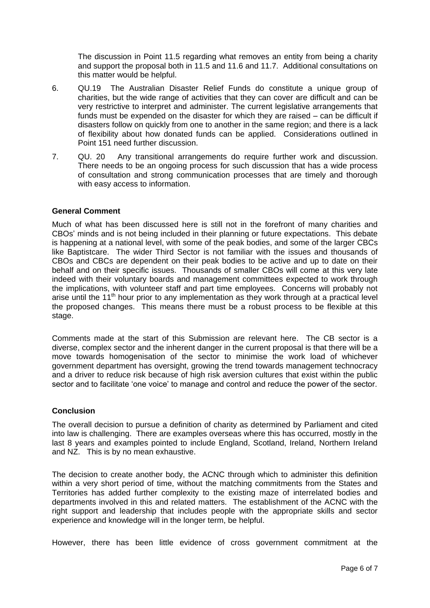The discussion in Point 11.5 regarding what removes an entity from being a charity and support the proposal both in 11.5 and 11.6 and 11.7. Additional consultations on this matter would be helpful.

- 6. QU.19 The Australian Disaster Relief Funds do constitute a unique group of charities, but the wide range of activities that they can cover are difficult and can be very restrictive to interpret and administer. The current legislative arrangements that funds must be expended on the disaster for which they are raised – can be difficult if disasters follow on quickly from one to another in the same region; and there is a lack of flexibility about how donated funds can be applied. Considerations outlined in Point 151 need further discussion.
- 7. QU. 20 Any transitional arrangements do require further work and discussion. There needs to be an ongoing process for such discussion that has a wide process of consultation and strong communication processes that are timely and thorough with easy access to information.

## **General Comment**

Much of what has been discussed here is still not in the forefront of many charities and CBOs' minds and is not being included in their planning or future expectations. This debate is happening at a national level, with some of the peak bodies, and some of the larger CBCs like Baptistcare. The wider Third Sector is not familiar with the issues and thousands of CBOs and CBCs are dependent on their peak bodies to be active and up to date on their behalf and on their specific issues. Thousands of smaller CBOs will come at this very late indeed with their voluntary boards and management committees expected to work through the implications, with volunteer staff and part time employees. Concerns will probably not arise until the 11<sup>th</sup> hour prior to any implementation as they work through at a practical level the proposed changes. This means there must be a robust process to be flexible at this stage.

Comments made at the start of this Submission are relevant here. The CB sector is a diverse, complex sector and the inherent danger in the current proposal is that there will be a move towards homogenisation of the sector to minimise the work load of whichever government department has oversight, growing the trend towards management technocracy and a driver to reduce risk because of high risk aversion cultures that exist within the public sector and to facilitate 'one voice' to manage and control and reduce the power of the sector.

## **Conclusion**

The overall decision to pursue a definition of charity as determined by Parliament and cited into law is challenging. There are examples overseas where this has occurred, mostly in the last 8 years and examples pointed to include England, Scotland, Ireland, Northern Ireland and NZ. This is by no mean exhaustive.

The decision to create another body, the ACNC through which to administer this definition within a very short period of time, without the matching commitments from the States and Territories has added further complexity to the existing maze of interrelated bodies and departments involved in this and related matters. The establishment of the ACNC with the right support and leadership that includes people with the appropriate skills and sector experience and knowledge will in the longer term, be helpful.

However, there has been little evidence of cross government commitment at the